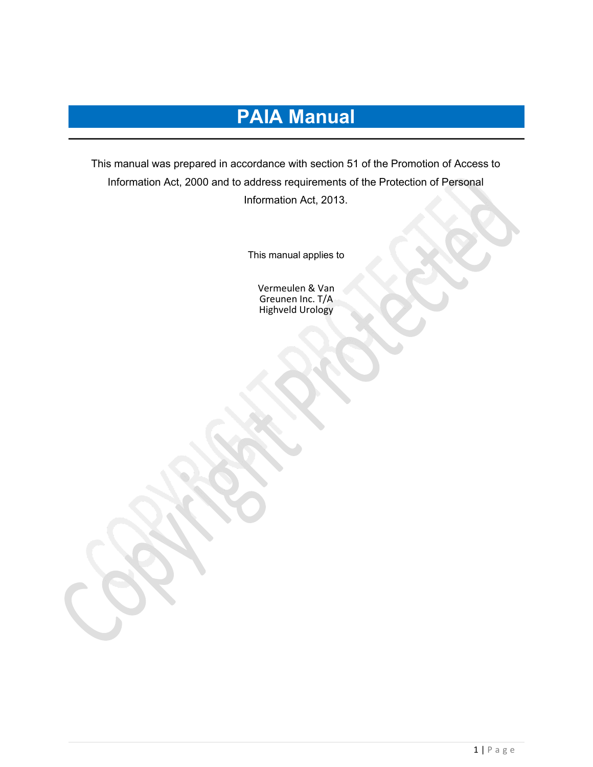# **PAIA Manual**

This manual was prepared in accordance with section 51 of the Promotion of Access to Information Act, 2000 and to address requirements of the Protection of Personal Information Act, 2013.

This manual applies to

Vermeulen & Van Greunen Inc. T/A Highveld Urology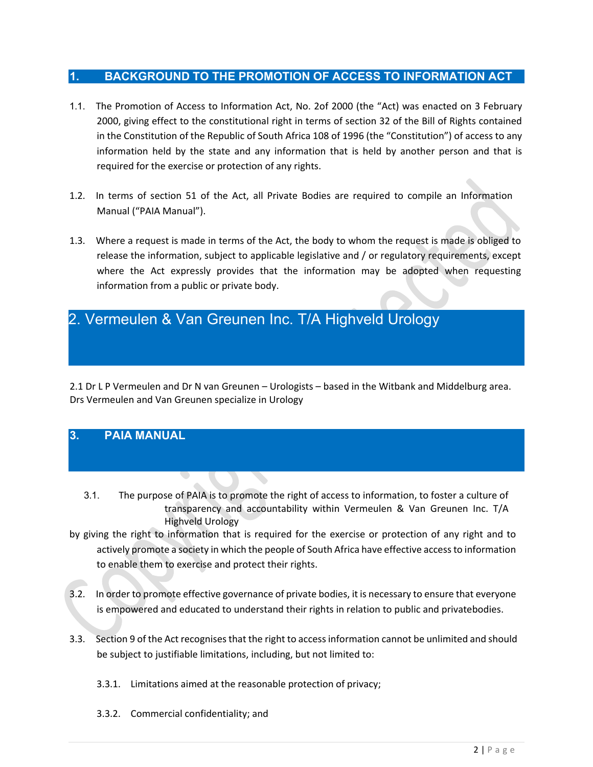## **1. BACKGROUND TO THE PROMOTION OF ACCESS TO INFORMATION ACT**

- 1.1. The Promotion of Access to Information Act, No. 2of 2000 (the "Act) was enacted on 3 February 2000, giving effect to the constitutional right in terms of section 32 of the Bill of Rights contained in the Constitution of the Republic of South Africa 108 of 1996 (the "Constitution") of access to any information held by the state and any information that is held by another person and that is required for the exercise or protection of any rights.
- 1.2. In terms of section 51 of the Act, all Private Bodies are required to compile an Information Manual ("PAIA Manual").
- 1.3. Where a request is made in terms of the Act, the body to whom the request is made is obliged to release the information, subject to applicable legislative and / or regulatory requirements, except where the Act expressly provides that the information may be adopted when requesting information from a public or private body.

# 2. Vermeulen & Van Greunen Inc. T/A Highveld Urology

2.1 Dr L P Vermeulen and Dr N van Greunen – Urologists – based in the Witbank and Middelburg area. Drs Vermeulen and Van Greunen specialize in Urology

# **3. PAIA MANUAL**

- 3.1. The purpose of PAIA is to promote the right of access to information, to foster a culture of transparency and accountability within Vermeulen & Van Greunen Inc. T/A Highveld Urology
- by giving the right to information that is required for the exercise or protection of any right and to actively promote a society in which the people of South Africa have effective accessto information to enable them to exercise and protect their rights.
- 3.2. In order to promote effective governance of private bodies, it is necessary to ensure that everyone is empowered and educated to understand their rights in relation to public and privatebodies.
- 3.3. Section 9 of the Act recognises that the right to access information cannot be unlimited and should be subject to justifiable limitations, including, but not limited to:
	- 3.3.1. Limitations aimed at the reasonable protection of privacy;
	- 3.3.2. Commercial confidentiality; and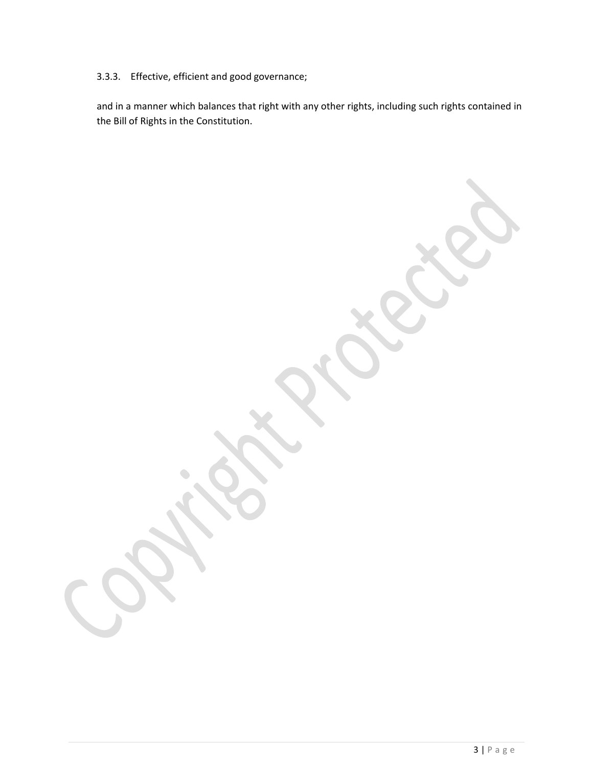# 3.3.3. Effective, efficient and good governance;

and in a manner which balances that right with any other rights, including such rights contained in the Bill of Rights in the Constitution.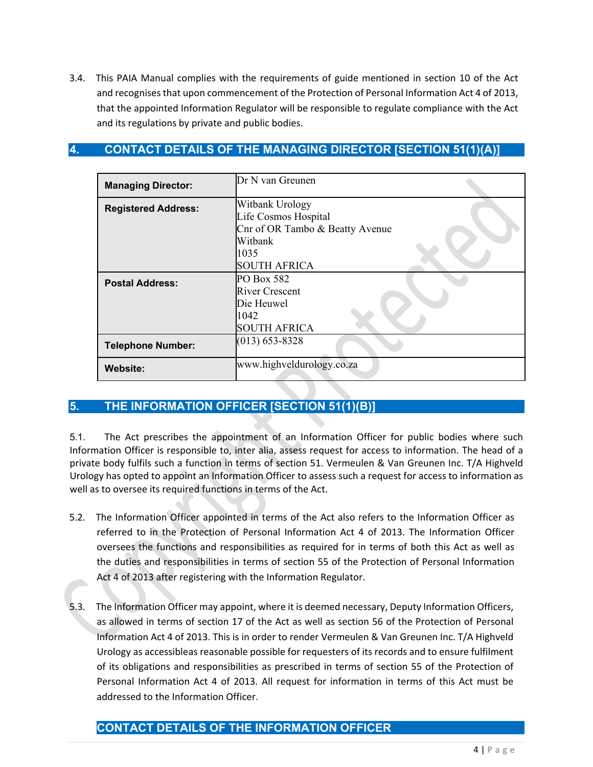3.4. This PAIA Manual complies with the requirements of guide mentioned in section 10 of the Act and recognises that upon commencement of the Protection of Personal Information Act 4 of 2013, that the appointed Information Regulator will be responsible to regulate compliance with the Act and its regulations by private and public bodies.

# **4. CONTACT DETAILS OF THE MANAGING DIRECTOR [SECTION 51(1)(A)]**

| <b>Managing Director:</b>  | Dr N van Greunen                                                                                                     |
|----------------------------|----------------------------------------------------------------------------------------------------------------------|
| <b>Registered Address:</b> | Witbank Urology<br>Life Cosmos Hospital<br>Cnr of OR Tambo & Beatty Avenue<br>Witbank<br>1035<br><b>SOUTH AFRICA</b> |
| <b>Postal Address:</b>     | PO Box 582<br><b>River Crescent</b><br>Die Heuwel<br>1042<br><b>SOUTH AFRICA</b>                                     |
| <b>Telephone Number:</b>   | $(013) 653 - 8328$                                                                                                   |
| <b>Website:</b>            | www.highveldurology.co.za                                                                                            |

# **5. THE INFORMATION OFFICER [SECTION 51(1)(B)]**

5.1. The Act prescribes the appointment of an Information Officer for public bodies where such Information Officer is responsible to, inter alia, assess request for access to information. The head of a private body fulfils such a function in terms of section 51. Vermeulen & Van Greunen Inc. T/A Highveld Urology has opted to appoint an Information Officer to assess such a request for access to information as well as to oversee its required functions in terms of the Act.

- 5.2. The Information Officer appointed in terms of the Act also refers to the Information Officer as referred to in the Protection of Personal Information Act 4 of 2013. The Information Officer oversees the functions and responsibilities as required for in terms of both this Act as well as the duties and responsibilities in terms of section 55 of the Protection of Personal Information Act 4 of 2013 after registering with the Information Regulator.
- 5.3. The Information Officer may appoint, where it is deemed necessary, Deputy Information Officers, as allowed in terms of section 17 of the Act as well as section 56 of the Protection of Personal Information Act 4 of 2013. This is in order to render Vermeulen & Van Greunen Inc. T/A Highveld Urology as accessibleas reasonable possible for requesters of its records and to ensure fulfilment of its obligations and responsibilities as prescribed in terms of section 55 of the Protection of Personal Information Act 4 of 2013. All request for information in terms of this Act must be addressed to the Information Officer.

# **CONTACT DETAILS OF THE INFORMATION OFFICER**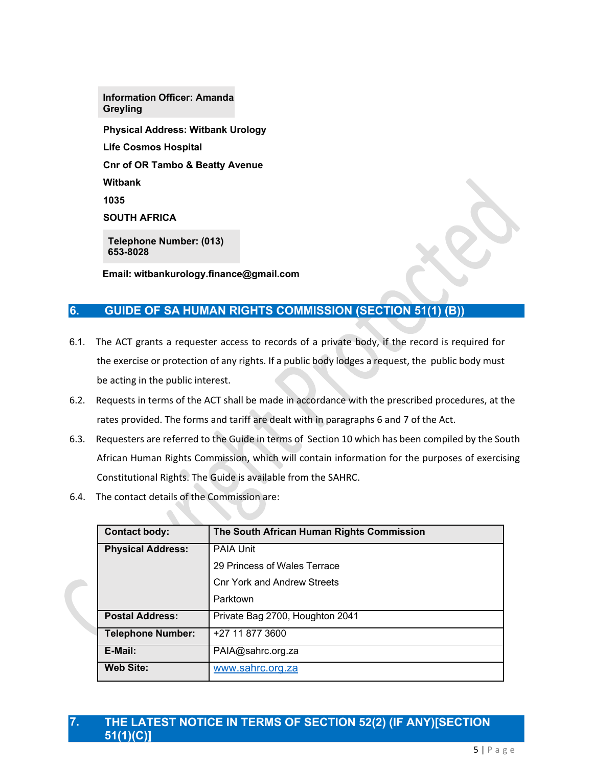**Physical Address: Witbank Urology Life Cosmos Hospital Cnr of OR Tambo & Beatty Avenue Witbank 1035 SOUTH AFRICA Telephone Number: (013) 653-8028 Information Officer: Amanda Greyling**

**Email: witbankurology.finance@gmail.com**

# **6.** GUIDE OF SA HUMAN RIGHTS COMMISSION (SECTION 51(1)

- 6.1. The ACT grants a requester access to records of a private body, if the record is required for the exercise or protection of any rights. If a public body lodges a request, the public body must be acting in the public interest.
- 6.2. Requests in terms of the ACT shall be made in accordance with the prescribed procedures, at the rates provided. The forms and tariff are dealt with in paragraphs 6 and 7 of the Act.
- 6.3. Requesters are referred to the Guide in terms of Section 10 which has been compiled by the South African Human Rights Commission, which will contain information for the purposes of exercising Constitutional Rights. The Guide is available from the SAHRC.
- 6.4. The contact details of the Commission are:

| <b>Contact body:</b>     | The South African Human Rights Commission |
|--------------------------|-------------------------------------------|
| <b>Physical Address:</b> | <b>PAIA Unit</b>                          |
|                          | 29 Princess of Wales Terrace              |
|                          | <b>Cnr York and Andrew Streets</b>        |
|                          | Parktown                                  |
| <b>Postal Address:</b>   | Private Bag 2700, Houghton 2041           |
| <b>Telephone Number:</b> | +27 11 877 3600                           |
| E-Mail:                  | PAIA@sahrc.org.za                         |
| <b>Web Site:</b>         | www.sahrc.org.za                          |

### **7. THE LATEST NOTICE IN TERMS OF SECTION 52(2) (IF ANY)[SECTION 51(1)(C)]**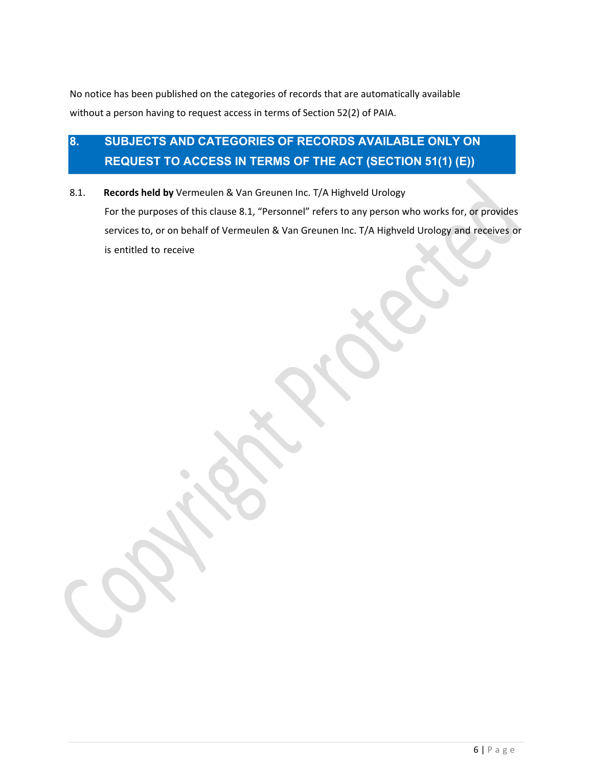No notice has been published on the categories of records that are automatically available without a person having to request access in terms of Section 52(2) of PAIA.

# **8. SUBJECTS AND CATEGORIES OF RECORDS AVAILABLE ONLY ON REQUEST TO ACCESS IN TERMS OF THE ACT (SECTION 51(1) (E))**

8.1. **Records held by** Vermeulen & Van Greunen Inc. T/A Highveld Urology For the purposes of this clause 8.1, "Personnel" refers to any person who works for, or provides services to, or on behalf of Vermeulen & Van Greunen Inc. T/A Highveld Urology and receives or is entitled to receive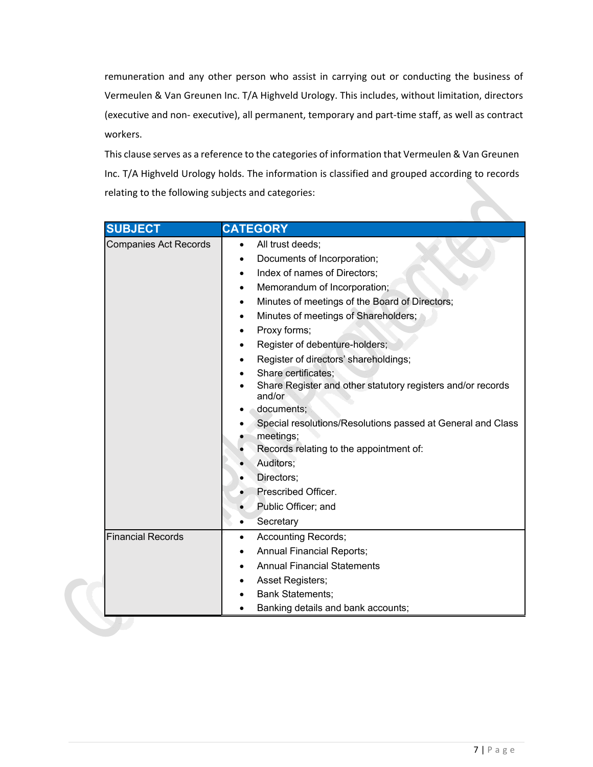remuneration and any other person who assist in carrying out or conducting the business of Vermeulen & Van Greunen Inc. T/A Highveld Urology. This includes, without limitation, directors (executive and non- executive), all permanent, temporary and part-time staff, as well as contract workers.

This clause serves as a reference to the categories of information that Vermeulen & Van Greunen Inc. T/A Highveld Urology holds. The information is classified and grouped according to records relating to the following subjects and categories:

| <b>SUBJECT</b>               | <b>CATEGORY</b>                                                       |
|------------------------------|-----------------------------------------------------------------------|
| <b>Companies Act Records</b> | All trust deeds;                                                      |
|                              | Documents of Incorporation;<br>$\bullet$                              |
|                              | Index of names of Directors;<br>$\bullet$                             |
|                              | Memorandum of Incorporation;<br>٠                                     |
|                              | Minutes of meetings of the Board of Directors;<br>٠                   |
|                              | Minutes of meetings of Shareholders;<br>$\bullet$                     |
|                              | Proxy forms;<br>$\bullet$                                             |
|                              | Register of debenture-holders;                                        |
|                              | Register of directors' shareholdings;                                 |
|                              | Share certificates;                                                   |
|                              | Share Register and other statutory registers and/or records<br>and/or |
|                              | documents;                                                            |
|                              | Special resolutions/Resolutions passed at General and Class           |
|                              | meetings;                                                             |
|                              | Records relating to the appointment of:                               |
|                              | Auditors;                                                             |
|                              | Directors;                                                            |
|                              | Prescribed Officer.                                                   |
|                              | Public Officer; and                                                   |
|                              | Secretary                                                             |
| <b>Financial Records</b>     | <b>Accounting Records;</b><br>$\bullet$                               |
|                              | <b>Annual Financial Reports;</b><br>٠                                 |
|                              | <b>Annual Financial Statements</b>                                    |
|                              | Asset Registers;                                                      |
|                              | <b>Bank Statements;</b>                                               |
|                              | Banking details and bank accounts;                                    |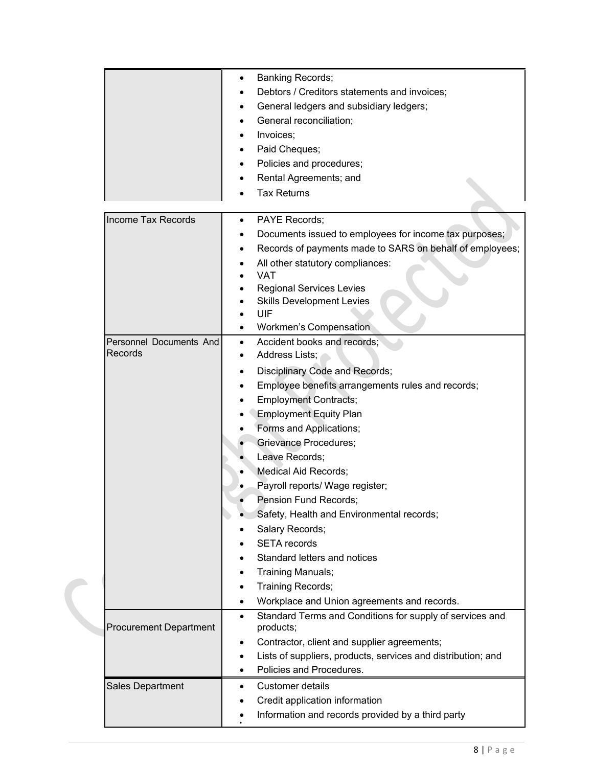|                                    | <b>Banking Records;</b><br>$\bullet$<br>Debtors / Creditors statements and invoices;<br>General ledgers and subsidiary ledgers;<br>General reconciliation;<br>Invoices;<br>Paid Cheques;<br>Policies and procedures;<br>Rental Agreements; and<br><b>Tax Returns</b>                                                                                                                                                                                                                                                                                                                                |
|------------------------------------|-----------------------------------------------------------------------------------------------------------------------------------------------------------------------------------------------------------------------------------------------------------------------------------------------------------------------------------------------------------------------------------------------------------------------------------------------------------------------------------------------------------------------------------------------------------------------------------------------------|
| <b>Income Tax Records</b>          | <b>PAYE Records:</b><br>$\bullet$<br>Documents issued to employees for income tax purposes;<br>Records of payments made to SARS on behalf of employees;<br>All other statutory compliances:<br><b>VAT</b><br><b>Regional Services Levies</b><br><b>Skills Development Levies</b><br>UIF<br>Workmen's Compensation                                                                                                                                                                                                                                                                                   |
| Personnel Documents And<br>Records | Accident books and records;<br>$\bullet$<br>Address Lists;<br>Disciplinary Code and Records;<br>Employee benefits arrangements rules and records;<br><b>Employment Contracts;</b><br><b>Employment Equity Plan</b><br>Forms and Applications;<br><b>Grievance Procedures;</b><br>Leave Records;<br>Medical Aid Records;<br>Payroll reports/ Wage register;<br>Pension Fund Records;<br>Safety, Health and Environmental records;<br>Salary Records;<br><b>SETA</b> records<br>Standard letters and notices<br>Training Manuals;<br>Training Records;<br>Workplace and Union agreements and records. |
| <b>Procurement Department</b>      | Standard Terms and Conditions for supply of services and<br>$\bullet$<br>products;<br>Contractor, client and supplier agreements;<br>٠<br>Lists of suppliers, products, services and distribution; and<br>٠<br>Policies and Procedures.                                                                                                                                                                                                                                                                                                                                                             |
| Sales Department                   | Customer details<br>Credit application information<br>Information and records provided by a third party                                                                                                                                                                                                                                                                                                                                                                                                                                                                                             |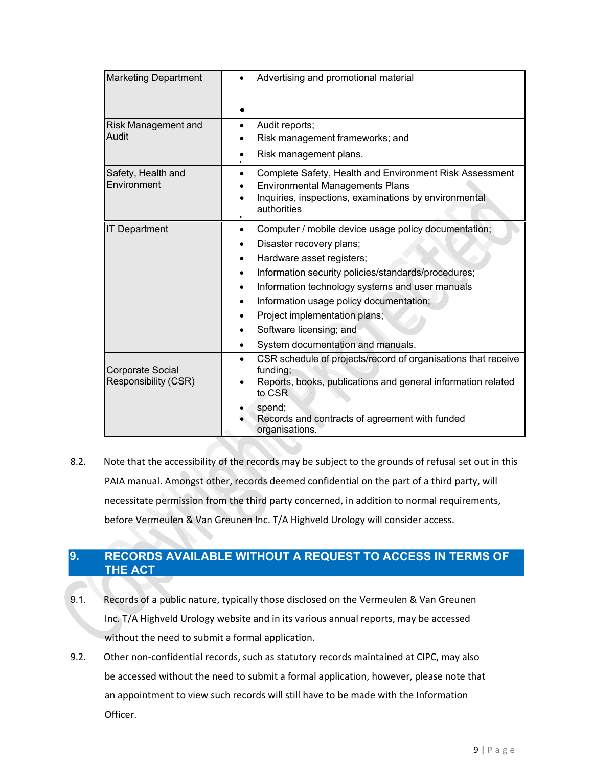| <b>Marketing Department</b>                     | Advertising and promotional material                                                                                                                                                                                                                                                                                                                                             |
|-------------------------------------------------|----------------------------------------------------------------------------------------------------------------------------------------------------------------------------------------------------------------------------------------------------------------------------------------------------------------------------------------------------------------------------------|
| Risk Management and<br>Audit                    | Audit reports;<br>Risk management frameworks; and<br>Risk management plans.                                                                                                                                                                                                                                                                                                      |
| Safety, Health and<br>Environment               | Complete Safety, Health and Environment Risk Assessment<br><b>Environmental Managements Plans</b><br>Inquiries, inspections, examinations by environmental<br>authorities                                                                                                                                                                                                        |
| <b>IT Department</b>                            | Computer / mobile device usage policy documentation;<br>$\bullet$<br>Disaster recovery plans;<br>Hardware asset registers;<br>Information security policies/standards/procedures;<br>Information technology systems and user manuals<br>Information usage policy documentation;<br>Project implementation plans;<br>Software licensing; and<br>System documentation and manuals. |
| <b>Corporate Social</b><br>Responsibility (CSR) | CSR schedule of projects/record of organisations that receive<br>$\bullet$<br>funding;<br>Reports, books, publications and general information related<br>to CSR<br>spend;<br>Records and contracts of agreement with funded<br>organisations.                                                                                                                                   |

8.2. Note that the accessibility of the records may be subject to the grounds of refusal set out in this PAIA manual. Amongst other, records deemed confidential on the part of a third party, will necessitate permission from the third party concerned, in addition to normal requirements, before Vermeulen & Van Greunen Inc. T/A Highveld Urology will consider access.

# **9. RECORDS AVAILABLE WITHOUT A REQUEST TO ACCESS IN TERMS OF THE ACT**

- 9.1. Records of a public nature, typically those disclosed on the Vermeulen & Van Greunen Inc. T/A Highveld Urology website and in its various annual reports, may be accessed without the need to submit a formal application.
- 9.2. Other non-confidential records, such as statutory records maintained at CIPC, may also be accessed without the need to submit a formal application, however, please note that an appointment to view such records will still have to be made with the Information Officer.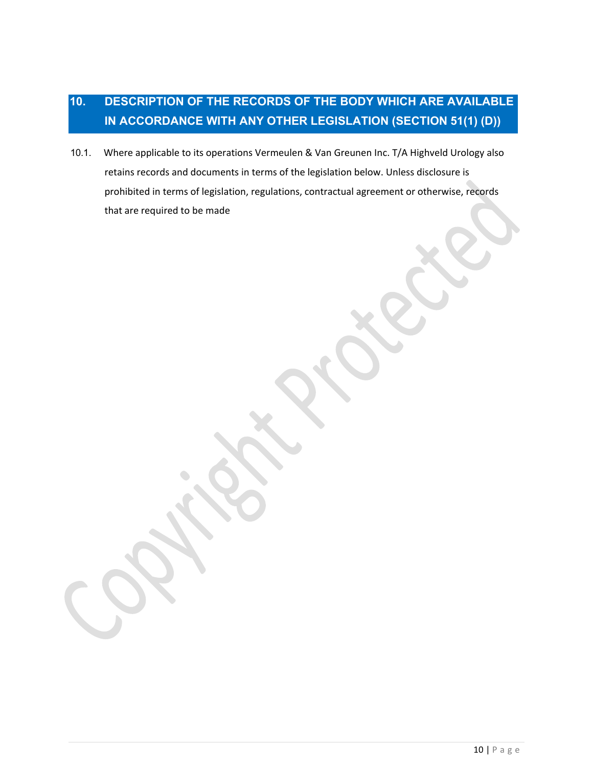# **10. DESCRIPTION OF THE RECORDS OF THE BODY WHICH ARE AVAILABLE IN ACCORDANCE WITH ANY OTHER LEGISLATION (SECTION 51(1) (D))**

10.1. Where applicable to its operations Vermeulen & Van Greunen Inc. T/A Highveld Urology also retains records and documents in terms of the legislation below. Unless disclosure is prohibited in terms of legislation, regulations, contractual agreement or otherwise, records that are required to be made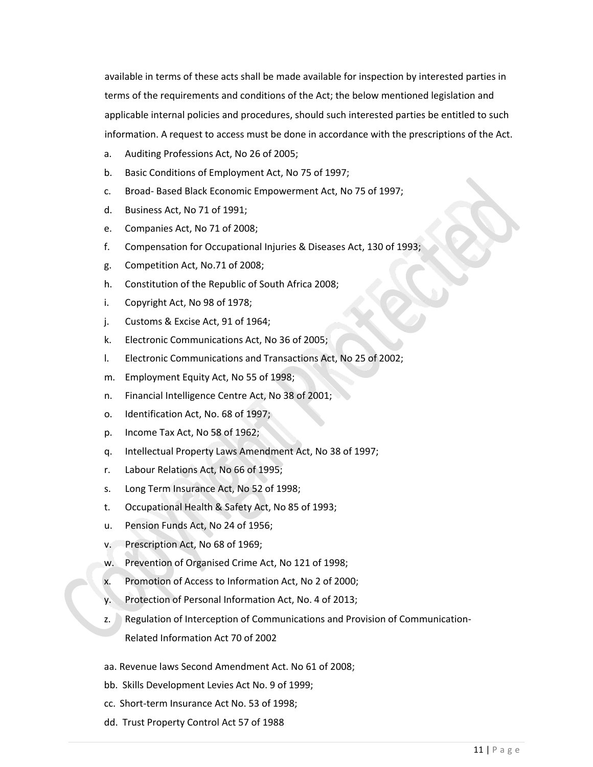available in terms of these acts shall be made available for inspection by interested parties in terms of the requirements and conditions of the Act; the below mentioned legislation and applicable internal policies and procedures, should such interested parties be entitled to such information. A request to access must be done in accordance with the prescriptions of the Act.

- a. Auditing Professions Act, No 26 of 2005;
- b. Basic Conditions of Employment Act, No 75 of 1997;
- c. Broad- Based Black Economic Empowerment Act, No 75 of 1997;
- d. Business Act, No 71 of 1991;
- e. Companies Act, No 71 of 2008;
- f. Compensation for Occupational Injuries & Diseases Act, 130 of 1993;
- g. Competition Act, No.71 of 2008;
- h. Constitution of the Republic of South Africa 2008;
- i. Copyright Act, No 98 of 1978;
- j. Customs & Excise Act, 91 of 1964;
- k. Electronic Communications Act, No 36 of 2005;
- l. Electronic Communications and Transactions Act, No 25 of 2002;
- m. Employment Equity Act, No 55 of 1998;
- n. Financial Intelligence Centre Act, No 38 of 2001;
- o. Identification Act, No. 68 of 1997;
- p. Income Tax Act, No 58 of 1962;
- q. Intellectual Property Laws Amendment Act, No 38 of 1997;
- r. Labour Relations Act, No 66 of 1995;
- s. Long Term Insurance Act, No 52 of 1998;
- t. Occupational Health & Safety Act, No 85 of 1993;
- u. Pension Funds Act, No 24 of 1956;
- v. Prescription Act, No 68 of 1969;
- w. Prevention of Organised Crime Act, No 121 of 1998;
- x. Promotion of Access to Information Act, No 2 of 2000;
- y. Protection of Personal Information Act, No. 4 of 2013;
- z. Regulation of Interception of Communications and Provision of Communication-Related Information Act 70 of 2002
- aa. Revenue laws Second Amendment Act. No 61 of 2008;
- bb. Skills Development Levies Act No. 9 of 1999;
- cc. Short-term Insurance Act No. 53 of 1998;
- dd. Trust Property Control Act 57 of 1988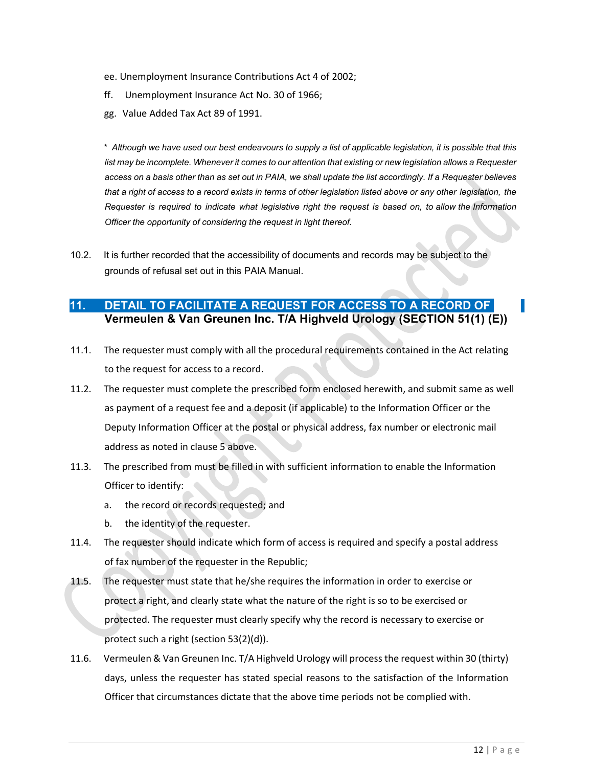- ee. Unemployment Insurance Contributions Act 4 of 2002;
- ff. Unemployment Insurance Act No. 30 of 1966;
- gg. Value Added Tax Act 89 of 1991.

\* *Although we have used our best endeavours to supply a list of applicable legislation, it is possible that this list may be incomplete. Whenever it comes to our attention that existing or new legislation allows a Requester access on a basis other than as set out in PAIA, we shall update the list accordingly. If a Requester believes that a right of access to a record exists in terms of other legislation listed above or any other legislation, the* Requester is required to indicate what legislative right the request is based on, to allow the Information *Officer the opportunity of considering the request in light thereof.*

10.2. It is further recorded that the accessibility of documents and records may be subject to the grounds of refusal set out in this PAIA Manual.

# **11. DETAIL TO FACILITATE A REQUEST FOR ACCESS TO A RECORD OF Vermeulen & Van Greunen Inc. T/A Highveld Urology (SECTION 51(1) (E))**

- 11.1. The requester must comply with all the procedural requirements contained in the Act relating to the request for access to a record.
- 11.2. The requester must complete the prescribed form enclosed herewith, and submit same as well as payment of a request fee and a deposit (if applicable) to the Information Officer or the Deputy Information Officer at the postal or physical address, fax number or electronic mail address as noted in clause 5 above.
- 11.3. The prescribed from must be filled in with sufficient information to enable the Information Officer to identify:
	- a. the record or records requested; and
	- b. the identity of the requester.
- 11.4. The requester should indicate which form of access is required and specify a postal address of fax number of the requester in the Republic;
- 11.5. The requester must state that he/she requires the information in order to exercise or protect a right, and clearly state what the nature of the right is so to be exercised or protected. The requester must clearly specify why the record is necessary to exercise or protect such a right (section 53(2)(d)).
- 11.6. Vermeulen & Van Greunen Inc. T/A Highveld Urology will process the request within 30 (thirty) days, unless the requester has stated special reasons to the satisfaction of the Information Officer that circumstances dictate that the above time periods not be complied with.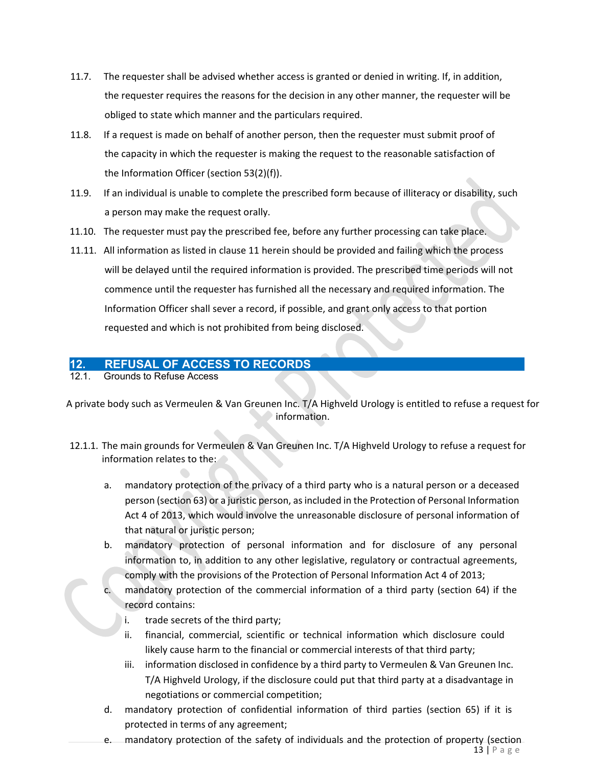- 11.7. The requester shall be advised whether access is granted or denied in writing. If, in addition, the requester requires the reasons for the decision in any other manner, the requester will be obliged to state which manner and the particulars required.
- 11.8. If a request is made on behalf of another person, then the requester must submit proof of the capacity in which the requester is making the request to the reasonable satisfaction of the Information Officer (section 53(2)(f)).
- 11.9. If an individual is unable to complete the prescribed form because of illiteracy or disability, such a person may make the request orally.
- 11.10. The requester must pay the prescribed fee, before any further processing can take place.
- 11.11. All information as listed in clause 11 herein should be provided and failing which the process will be delayed until the required information is provided. The prescribed time periods will not commence until the requester has furnished all the necessary and required information. The Information Officer shall sever a record, if possible, and grant only access to that portion requested and which is not prohibited from being disclosed.

## **12. REFUSAL OF ACCESS TO RECORDS**

12.1. Grounds to Refuse Access

A private body such as Vermeulen & Van Greunen Inc. T/A Highveld Urology is entitled to refuse a request for information.

- 12.1.1. The main grounds for Vermeulen & Van Greunen Inc. T/A Highveld Urology to refuse a request for information relates to the:
	- a. mandatory protection of the privacy of a third party who is a natural person or a deceased person (section 63) or a juristic person, as included in the Protection of Personal Information Act 4 of 2013, which would involve the unreasonable disclosure of personal information of that natural or juristic person;
	- b. mandatory protection of personal information and for disclosure of any personal information to, in addition to any other legislative, regulatory or contractual agreements, comply with the provisions of the Protection of Personal Information Act 4 of 2013;
		- mandatory protection of the commercial information of a third party (section 64) if the record contains:
			- i. trade secrets of the third party;
			- ii. financial, commercial, scientific or technical information which disclosure could likely cause harm to the financial or commercial interests of that third party;
			- iii. information disclosed in confidence by a third party to Vermeulen & Van Greunen Inc. T/A Highveld Urology, if the disclosure could put that third party at a disadvantage in negotiations or commercial competition;
	- d. mandatory protection of confidential information of third parties (section 65) if it is protected in terms of any agreement;
	- $13$  | P a g e e. mandatory protection of the safety of individuals and the protection of property (section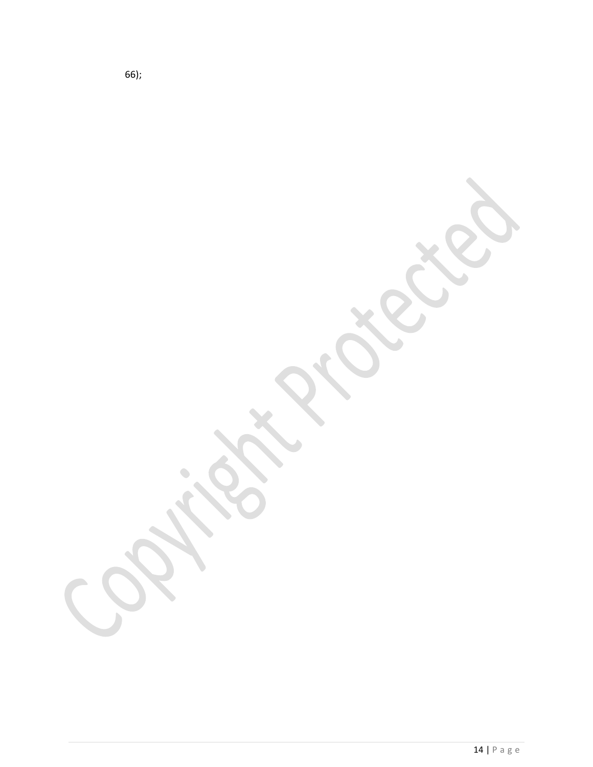66);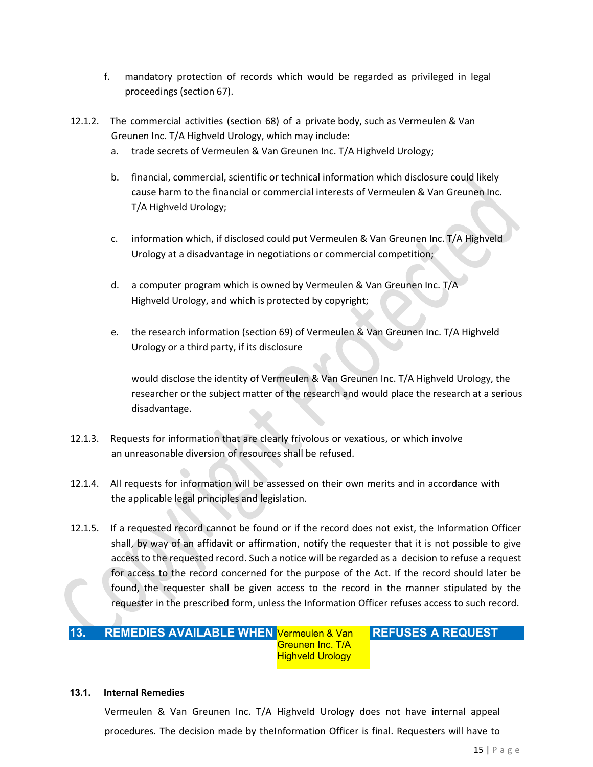- f. mandatory protection of records which would be regarded as privileged in legal proceedings (section 67).
- 12.1.2. The commercial activities (section 68) of a private body, such as Vermeulen & Van Greunen Inc. T/A Highveld Urology, which may include:
	- a. trade secrets of Vermeulen & Van Greunen Inc. T/A Highveld Urology;
	- b. financial, commercial, scientific or technical information which disclosure could likely cause harm to the financial or commercial interests of Vermeulen & Van Greunen Inc. T/A Highveld Urology;
	- c. information which, if disclosed could put Vermeulen & Van Greunen Inc. T/A Highveld Urology at a disadvantage in negotiations or commercial competition;
	- d. a computer program which is owned by Vermeulen & Van Greunen Inc. T/A Highveld Urology, and which is protected by copyright;
	- e. the research information (section 69) of Vermeulen & Van Greunen Inc. T/A Highveld Urology or a third party, if its disclosure

would disclose the identity of Vermeulen & Van Greunen Inc. T/A Highveld Urology, the researcher or the subject matter of the research and would place the research at a serious disadvantage.

- 12.1.3. Requests for information that are clearly frivolous or vexatious, or which involve an unreasonable diversion of resources shall be refused.
- 12.1.4. All requests for information will be assessed on their own merits and in accordance with the applicable legal principles and legislation.
- 12.1.5. If a requested record cannot be found or if the record does not exist, the Information Officer shall, by way of an affidavit or affirmation, notify the requester that it is not possible to give access to the requested record. Such a notice will be regarded as a decision to refuse a request for access to the record concerned for the purpose of the Act. If the record should later be found, the requester shall be given access to the record in the manner stipulated by the requester in the prescribed form, unless the Information Officer refuses access to such record.

#### Vermeulen & Van **REFUSES A REQUEST** Greunen Inc. T/A **Highveld Urology 13. REMEDIES AVAILABLE WHEN**

#### **13.1. Internal Remedies**

Vermeulen & Van Greunen Inc. T/A Highveld Urology does not have internal appeal procedures. The decision made by theInformation Officer is final. Requesters will have to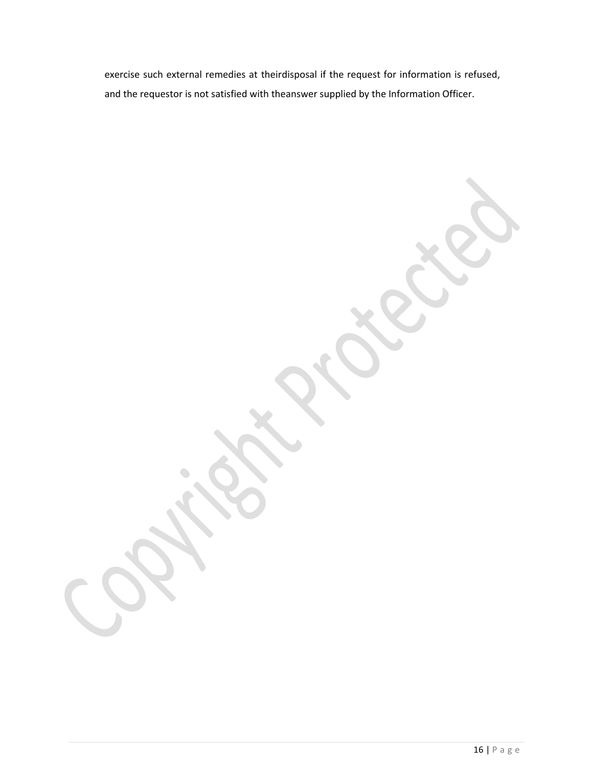exercise such external remedies at theirdisposal if the request for information is refused, and the requestor is not satisfied with theanswer supplied by the Information Officer.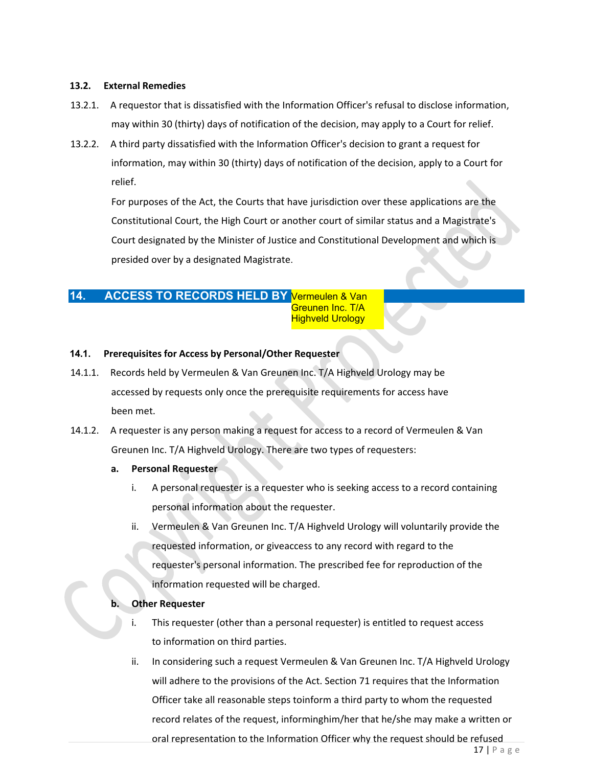### **13.2. External Remedies**

- 13.2.1. A requestor that is dissatisfied with the Information Officer's refusal to disclose information, may within 30 (thirty) days of notification of the decision, may apply to a Court for relief.
- 13.2.2. A third party dissatisfied with the Information Officer's decision to grant a request for information, may within 30 (thirty) days of notification of the decision, apply to a Court for relief.

For purposes of the Act, the Courts that have jurisdiction over these applications are the Constitutional Court, the High Court or another court of similar status and a Magistrate's Court designated by the Minister of Justice and Constitutional Development and which is presided over by a designated Magistrate.

### 14. ACCESS TO RECORDS HELD BY **Vermeulen & Van** Greunen Inc. T/A **Highveld Urology**

### **14.1. Prerequisites for Access by Personal/Other Requester**

- 14.1.1. Records held by Vermeulen & Van Greunen Inc. T/A Highveld Urology may be accessed by requests only once the prerequisite requirements for access have been met.
- 14.1.2. A requester is any person making a request for access to a record of Vermeulen & Van Greunen Inc. T/A Highveld Urology. There are two types of requesters:

### **a. Personal Requester**

- i. A personal requester is a requester who is seeking access to a record containing personal information about the requester.
- ii. Vermeulen & Van Greunen Inc. T/A Highveld Urology will voluntarily provide the requested information, or giveaccess to any record with regard to the requester's personal information. The prescribed fee for reproduction of the information requested will be charged.

#### **b. Other Requester**

- i. This requester (other than a personal requester) is entitled to request access to information on third parties.
- ii. In considering such a request Vermeulen & Van Greunen Inc. T/A Highveld Urology will adhere to the provisions of the Act. Section 71 requires that the Information Officer take all reasonable steps toinform a third party to whom the requested record relates of the request, informinghim/her that he/she may make a written or oral representation to the Information Officer why the request should be refused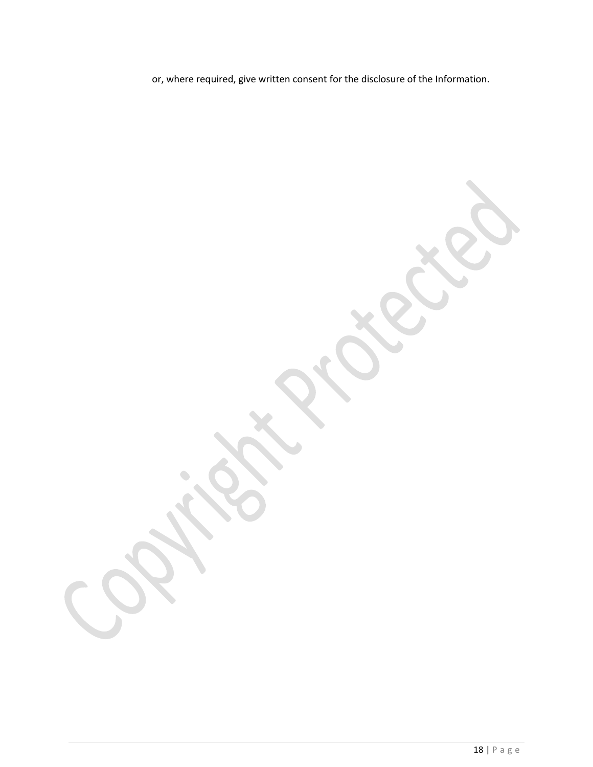or, where required, give written consent for the disclosure of the Information.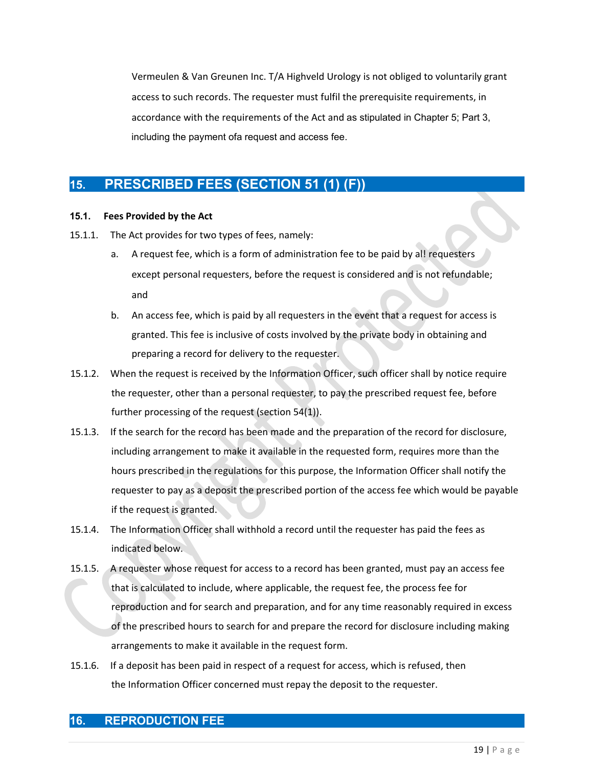Vermeulen & Van Greunen Inc. T/A Highveld Urology is not obliged to voluntarily grant access to such records. The requester must fulfil the prerequisite requirements, in accordance with the requirements of the Act and as stipulated in Chapter 5; Part 3, including the payment ofa request and access fee.

# **15. PRESCRIBED FEES (SECTION 51 (1) (F))**

### **15.1. Fees Provided by the Act**

- 15.1.1. The Act provides for two types of fees, namely:
	- a. A request fee, which is a form of administration fee to be paid by al! requesters except personal requesters, before the request is considered and is not refundable; and
	- b. An access fee, which is paid by all requesters in the event that a request for access is granted. This fee is inclusive of costs involved by the private body in obtaining and preparing a record for delivery to the requester.
- 15.1.2. When the request is received by the Information Officer, such officer shall by notice require the requester, other than a personal requester, to pay the prescribed request fee, before further processing of the request (section 54(1)).
- 15.1.3. If the search for the record has been made and the preparation of the record for disclosure, including arrangement to make it available in the requested form, requires more than the hours prescribed in the regulations for this purpose, the Information Officer shall notify the requester to pay as a deposit the prescribed portion of the access fee which would be payable if the request is granted.
- 15.1.4. The Information Officer shall withhold a record until the requester has paid the fees as indicated below.
- 15.1.5. A requester whose request for access to a record has been granted, must pay an access fee that is calculated to include, where applicable, the request fee, the process fee for reproduction and for search and preparation, and for any time reasonably required in excess of the prescribed hours to search for and prepare the record for disclosure including making arrangements to make it available in the request form.
- 15.1.6. If a deposit has been paid in respect of a request for access, which is refused, then the Information Officer concerned must repay the deposit to the requester.

### **16. REPRODUCTION FEE**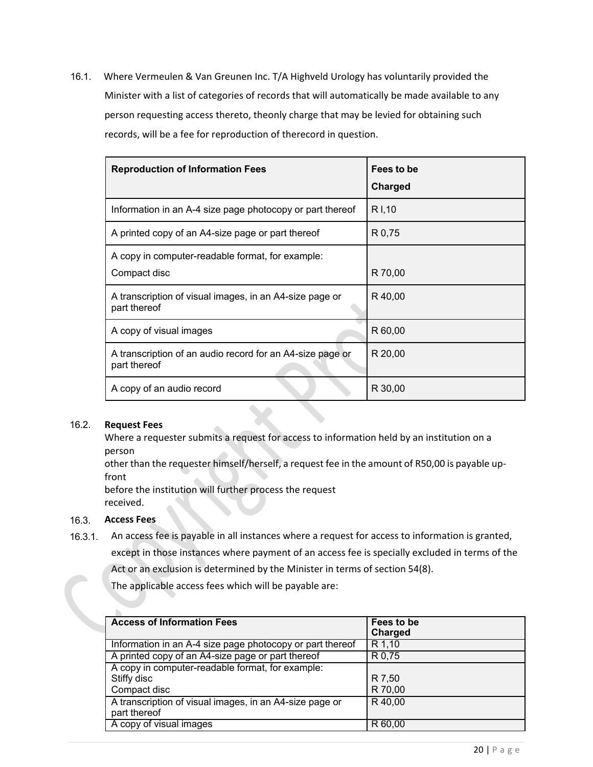16.1. Where Vermeulen & Van Greunen Inc. T/A Highveld Urology has voluntarily provided the Minister with a list of categories of records that will automatically be made available to any person requesting access thereto, theonly charge that may be levied for obtaining such records, will be a fee for reproduction of therecord in question.

| <b>Reproduction of Information Fees</b>                                   | Fees to be<br><b>Charged</b> |
|---------------------------------------------------------------------------|------------------------------|
| Information in an A-4 size page photocopy or part thereof                 | R I, 10                      |
| A printed copy of an A4-size page or part thereof                         | R 0,75                       |
| A copy in computer-readable format, for example:<br>Compact disc          | R 70,00                      |
| A transcription of visual images, in an A4-size page or<br>part thereof   | R 40,00                      |
| A copy of visual images                                                   | R 60,00                      |
| A transcription of an audio record for an A4-size page or<br>part thereof | R 20,00                      |
| A copy of an audio record                                                 | R 30,00                      |

### 16.2. **Request Fees**

Where a requester submits a request for access to information held by an institution on a person

other than the requester himself/herself, a request fee in the amount of R50,00 is payable upfront

before the institution will further process the request received.

### 16.3. **Access Fees**

Ď.

16.3.1. An access fee is payable in all instances where a request for access to information is granted, except in those instances where payment of an access fee is specially excluded in terms of the Act or an exclusion is determined by the Minister in terms of section 54(8).

The applicable access fees which will be payable are:

| <b>Access of Information Fees</b>                                               | Fees to be<br>Charged |
|---------------------------------------------------------------------------------|-----------------------|
| Information in an A-4 size page photocopy or part thereof                       | R 1,10                |
| A printed copy of an A4-size page or part thereof                               | R 0,75                |
| A copy in computer-readable format, for example:<br>Stiffy disc<br>Compact disc | R 7,50<br>R 70,00     |
| A transcription of visual images, in an A4-size page or<br>part thereof         | R40,00                |
| A copy of visual images                                                         | R 60,00               |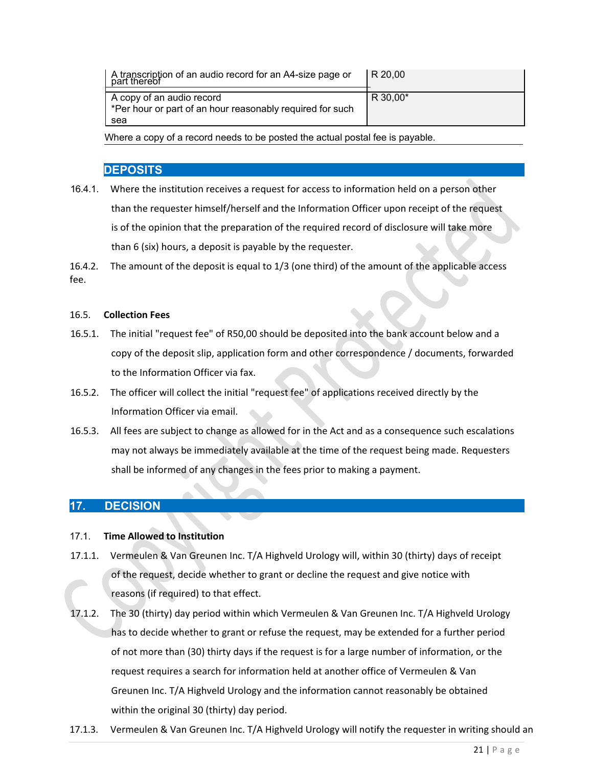| I A transcription of an audio record for an A4-size page or<br>part thereof                   | IR 20.00 |
|-----------------------------------------------------------------------------------------------|----------|
| A copy of an audio record<br>*Per hour or part of an hour reasonably required for such<br>sea | R 30,00* |

Where a copy of a record needs to be posted the actual postal fee is payable.

### **16.4. DEPOSITS**

16.4.1. Where the institution receives a request for access to information held on a person other than the requester himself/herself and the Information Officer upon receipt of the request is of the opinion that the preparation of the required record of disclosure will take more than 6 (six) hours, a deposit is payable by the requester.

16.4.2. The amount of the deposit is equal to 1/3 (one third) of the amount of the applicable access fee.

### 16.5. **Collection Fees**

- 16.5.1. The initial "request fee" of R50,00 should be deposited into the bank account below and a copy of the deposit slip, application form and other correspondence / documents, forwarded to the Information Officer via fax.
- 16.5.2. The officer will collect the initial "request fee" of applications received directly by the Information Officer via email.
- 16.5.3. All fees are subject to change as allowed for in the Act and as a consequence such escalations may not always be immediately available at the time of the request being made. Requesters shall be informed of any changes in the fees prior to making a payment.

# **17. DECISION**

### 17.1. **Time Allowed to Institution**

- 17.1.1. Vermeulen & Van Greunen Inc. T/A Highveld Urology will, within 30 (thirty) days of receipt of the request, decide whether to grant or decline the request and give notice with reasons (if required) to that effect.
- 17.1.2. The 30 (thirty) day period within which Vermeulen & Van Greunen Inc. T/A Highveld Urology has to decide whether to grant or refuse the request, may be extended for a further period of not more than (30) thirty days if the request is for a large number of information, or the request requires a search for information held at another office of Vermeulen & Van Greunen Inc. T/A Highveld Urology and the information cannot reasonably be obtained within the original 30 (thirty) day period.
- 17.1.3. Vermeulen & Van Greunen Inc. T/A Highveld Urology will notify the requester in writing should an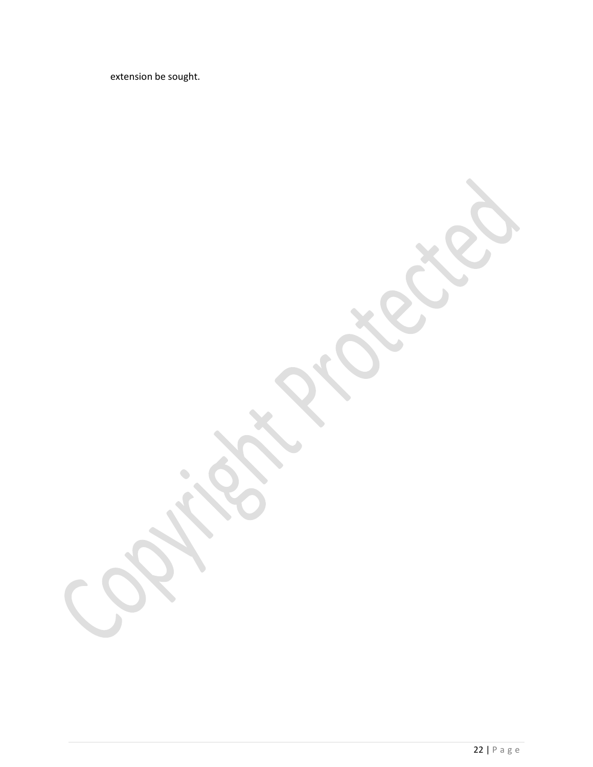extension be sought.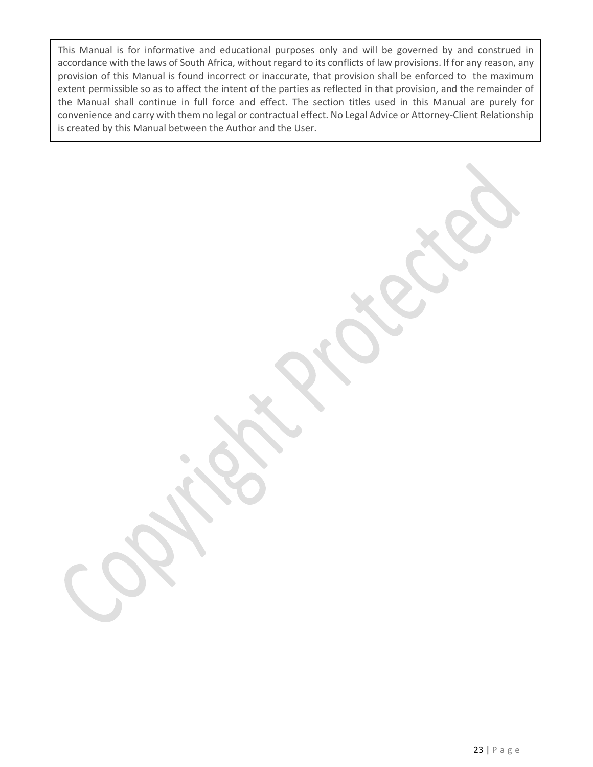This Manual is for informative and educational purposes only and will be governed by and construed in accordance with the laws of South Africa, without regard to its conflicts of law provisions. If for any reason, any provision of this Manual is found incorrect or inaccurate, that provision shall be enforced to the maximum extent permissible so as to affect the intent of the parties as reflected in that provision, and the remainder of the Manual shall continue in full force and effect. The section titles used in this Manual are purely for convenience and carry with them no legal or contractual effect. No Legal Advice or Attorney-Client Relationship is created by this Manual between the Author and the User.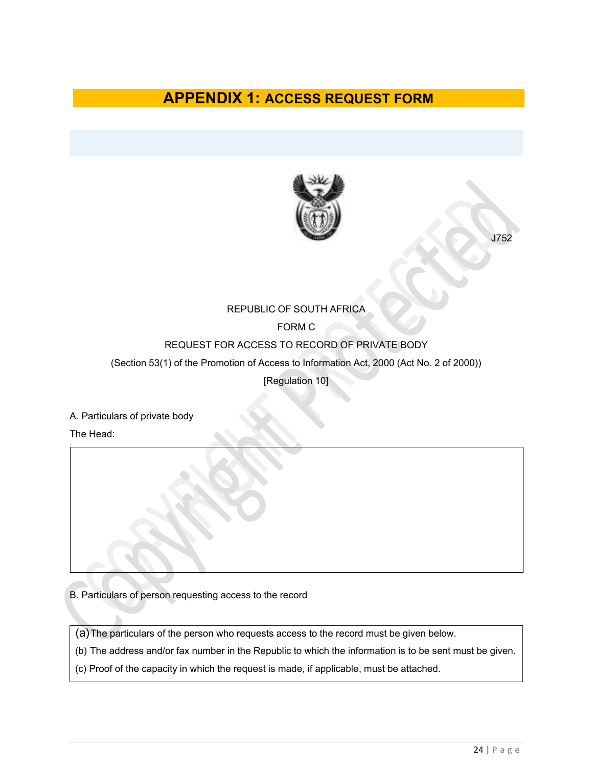# **APPENDIX 1: ACCESS REQUEST FORM**



J752

### REPUBLIC OF SOUTH AFRICA

## FORM C

### REQUEST FOR ACCESS TO RECORD OF PRIVATE BODY

(Section 53(1) of the Promotion of Access to Information Act, 2000 (Act No. 2 of 2000))

[Regulation 10]

A. Particulars of private body

The Head:

B. Particulars of person requesting access to the record

(a)The particulars of the person who requests access to the record must be given below.

(b) The address and/or fax number in the Republic to which the information is to be sent must be given.

(c) Proof of the capacity in which the request is made, if applicable, must be attached.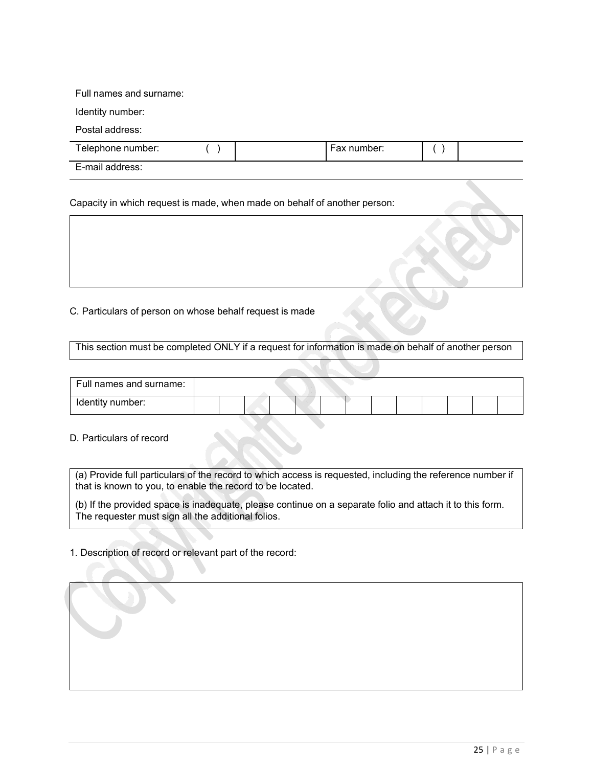### Full names and surname:

Identity number:

Postal address:

| Telephone number: \ |  | ∶number:<br>. Fax |  |
|---------------------|--|-------------------|--|
| E-mail address:     |  |                   |  |

Capacity in which request is made, when made on behalf of another person:

C. Particulars of person on whose behalf request is made

This section must be completed ONLY if a request for information is made on behalf of another person

| Full names and surname: |  |  |  |  |  |  |  |
|-------------------------|--|--|--|--|--|--|--|
| Identity number:        |  |  |  |  |  |  |  |

### D. Particulars of record

(a) Provide full particulars of the record to which access is requested, including the reference number if that is known to you, to enable the record to be located.

(b) If the provided space is inadequate, please continue on a separate folio and attach it to this form. The requester must sign all the additional folios.

1. Description of record or relevant part of the record: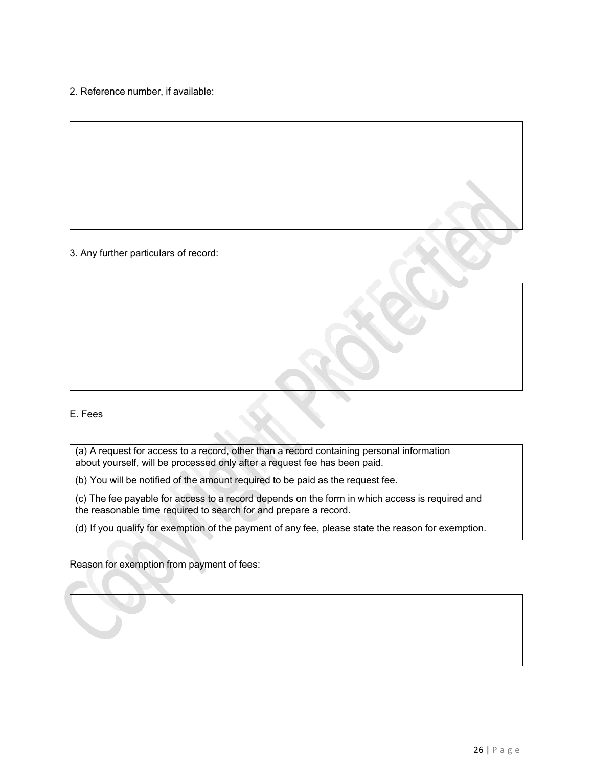2. Reference number, if available:

### 3. Any further particulars of record:

### E. Fees

(a) A request for access to a record, other than a record containing personal information about yourself, will be processed only after a request fee has been paid.

(b) You will be notified of the amount required to be paid as the request fee.

(c) The fee payable for access to a record depends on the form in which access is required and the reasonable time required to search for and prepare a record.

(d) If you qualify for exemption of the payment of any fee, please state the reason for exemption.

Reason for exemption from payment of fees: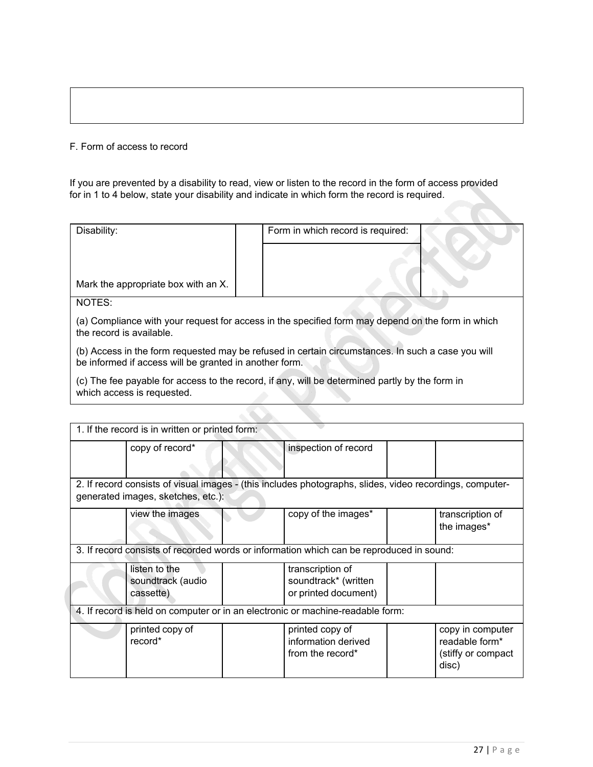### F. Form of access to record

If you are prevented by a disability to read, view or listen to the record in the form of access provided for in 1 to 4 below, state your disability and indicate in which form the record is required.

| Disability:                                                                                                                                    |                                                                                                                               |  | Form in which record is required:                                                                 |  |  |  |  |  |
|------------------------------------------------------------------------------------------------------------------------------------------------|-------------------------------------------------------------------------------------------------------------------------------|--|---------------------------------------------------------------------------------------------------|--|--|--|--|--|
|                                                                                                                                                |                                                                                                                               |  |                                                                                                   |  |  |  |  |  |
|                                                                                                                                                | Mark the appropriate box with an X.                                                                                           |  |                                                                                                   |  |  |  |  |  |
| NOTES:                                                                                                                                         |                                                                                                                               |  |                                                                                                   |  |  |  |  |  |
|                                                                                                                                                | (a) Compliance with your request for access in the specified form may depend on the form in which<br>the record is available. |  |                                                                                                   |  |  |  |  |  |
|                                                                                                                                                | be informed if access will be granted in another form.                                                                        |  | (b) Access in the form requested may be refused in certain circumstances. In such a case you will |  |  |  |  |  |
|                                                                                                                                                | which access is requested.                                                                                                    |  | (c) The fee payable for access to the record, if any, will be determined partly by the form in    |  |  |  |  |  |
|                                                                                                                                                |                                                                                                                               |  |                                                                                                   |  |  |  |  |  |
|                                                                                                                                                | 1. If the record is in written or printed form:                                                                               |  |                                                                                                   |  |  |  |  |  |
|                                                                                                                                                | copy of record*                                                                                                               |  | inspection of record                                                                              |  |  |  |  |  |
| 2. If record consists of visual images - (this includes photographs, slides, video recordings, computer-<br>generated images, sketches, etc.): |                                                                                                                               |  |                                                                                                   |  |  |  |  |  |

| view the images                                 | copy of the images*                                                                      | transcription of<br>the images*                                   |
|-------------------------------------------------|------------------------------------------------------------------------------------------|-------------------------------------------------------------------|
|                                                 | 3. If record consists of recorded words or information which can be reproduced in sound: |                                                                   |
| listen to the<br>soundtrack (audio<br>cassette) | transcription of<br>soundtrack* (written<br>or printed document)                         |                                                                   |
|                                                 | 4. If record is held on computer or in an electronic or machine-readable form:           |                                                                   |
| printed copy of<br>record*                      | printed copy of<br>information derived<br>from the record*                               | copy in computer<br>readable form*<br>(stiffy or compact<br>disc) |